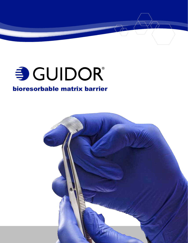

# SCUIDOR®

# bioresorbable matrix barrier

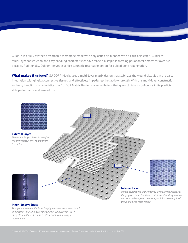Guidor<sup>®</sup> is a fully-synthetic resorbable membrane made with polylactic acid blended with a citric acid ester. Guidor's<sup>®</sup> multi-layer construction and easy handling characteristics have made it a staple in treating periodontal defects for over two decades. Additionally, Guidor® serves as a nice synthetic resorbable option for guided bone regeneration.

What makes it unique? GUIDOR<sup>®</sup> Matrix uses a multi-layer matrix design that stabilizes the wound site, aids in the early integration with gingival connective tissues, and effectively impedes epithelial downgrowth. With this multi-layer construction and easy handling characteristics, the GUIDOR Matrix Barrier is a versatile tool that gives clinicians confidence in its predictable performance and ease of use.



#### **Inner (Empty) Space**

*The spacers maintain the inner (empty) space between the external and internal layers that allow the gingival connective tissue to integrate into the matrix and create the best conditions for regeneration.*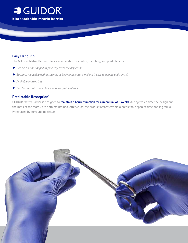

#### **Easy Handling**

The GUIDOR Matrix Barrier offers a combination of control, handling, and predictability:

- **▶ Can be cut and shaped to precisely cover the defect site**
- ▼*Becomes malleable within seconds at body temperature, making it easy to handle and control*
- ▼*Available in two sizes*
- ▶ Can be used with your choice of bone graft material

### **Predictable Resorption\***

GUIDOR Matrix Barrier is designed to **maintain a barrier function for a minimum of 6 weeks**, during which time the design and the mass of the matrix are both maintained. Afterwards, the product resorbs within a predictable span of time and is gradually replaced by surrounding tissue.